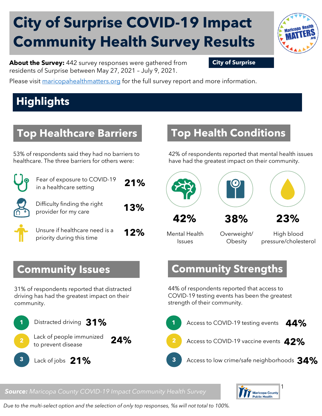# **City of Surprise COVID-19 Impact Community Health Survey Results**



**About the Survey:** 442 survey responses were gathered from **City of Surprise** residents of Surprise between May 27, 2021 – July 9, 2021.

Please visit [maricopahealthmatters.org](https://www.maricopa.gov/5100/Health-Data-Maricopa-Health-Matters) for the full survey report and more information.

## **Highlights**

#### **Top Healthcare Barriers**

53% of respondents said they had no barriers to healthcare. The three barriers for others were:

| Fear of exposure to COVID-19<br>in a healthcare setting     | 21% |
|-------------------------------------------------------------|-----|
| Difficulty finding the right<br>provider for my care        | 13% |
| Unsure if healthcare need is a<br>priority during this time | 12% |

#### **Top Health Conditions**

42% of respondents reported that mental health issues have had the greatest impact on their community.



Mental Health Issues

Overweight/ **Obesity** 

High blood pressure/cholesterol

#### **Community Strengths**

44% of respondents reported that access to COVID-19 testing events has been the greatest strength of their community.



#### *Source: Maricopa County COVID-19 Impact Community Health Survey*



*Due to the multi-select option and the selection of only top responses, %s will not total to 100%.* 

#### **Community Issues**

31% of respondents reported that distracted driving has had the greatest impact on their community.

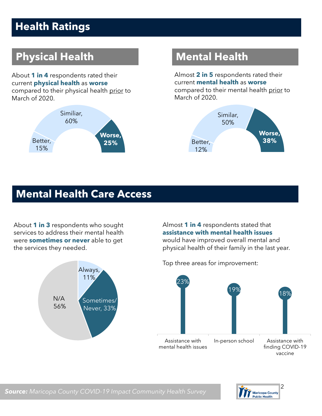### **Health Ratings**

## **Physical Health Mental Health**

About **1 in 4** respondents rated their current **physical health** as **worse**  compared to their physical health prior to March of 2020.



Almost **2 in 5** respondents rated their current **mental health** as **worse** compared to their mental health prior to March of 2020.



#### **Mental Health Care Access**

About **1 in 3** respondents who sought services to address their mental health were **sometimes or never** able to get the services they needed.



Almost **1 in 4** respondents stated that **assistance with mental health issues** would have improved overall mental and physical health of their family in the last year.



Top three areas for improvement:

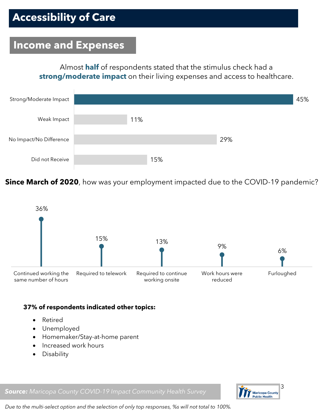#### **Income and Expenses**

Almost **half** of respondents stated that the stimulus check had a **strong/moderate impact** on their living expenses and access to healthcare.



**Since March of 2020**, how was your employment impacted due to the COVID-19 pandemic?



#### **37% of respondents indicated other topics:**

- Retired
- Unemployed
- Homemaker/Stay-at-home parent
- Increased work hours
- Disability

*Source: Maricopa County COVID-19 Impact Community Health Survey*



*Due to the multi-select option and the selection of only top responses, %s will not total to 100%.*